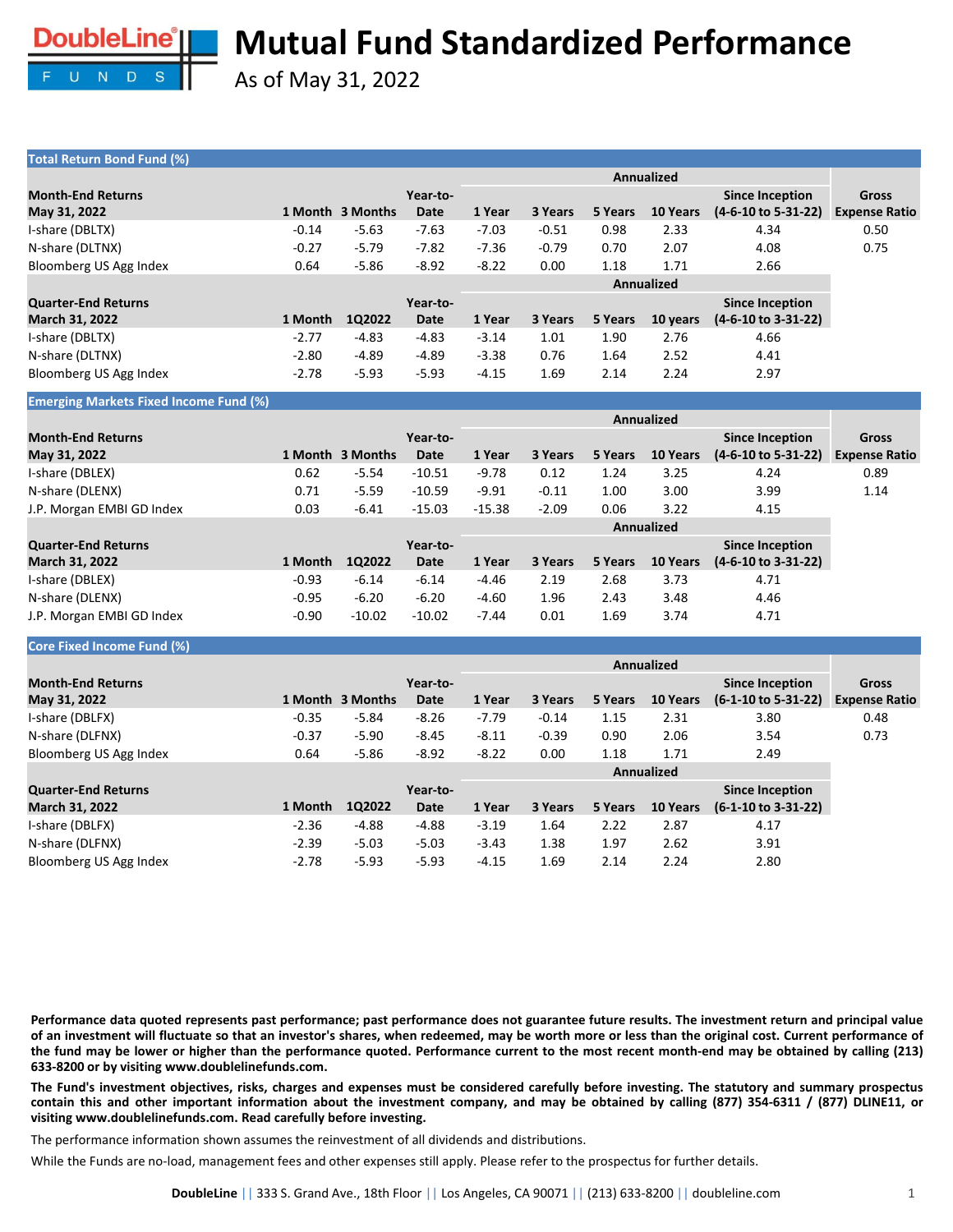

As of May 31, 2022

### **Total Return Bond Fund (%)**

| <b>Month-End Returns</b>   |         |                  | Year-to- |         |         |         |                   | <b>Since Inception</b>         | Gross                |
|----------------------------|---------|------------------|----------|---------|---------|---------|-------------------|--------------------------------|----------------------|
| May 31, 2022               |         | 1 Month 3 Months | Date     | 1 Year  | 3 Years | 5 Years | 10 Years          | (4-6-10 to 5-31-22)            | <b>Expense Ratio</b> |
| I-share (DBLTX)            | $-0.14$ | $-5.63$          | $-7.63$  | $-7.03$ | $-0.51$ | 0.98    | 2.33              | 4.34                           | 0.50                 |
| N-share (DLTNX)            | $-0.27$ | $-5.79$          | $-7.82$  | $-7.36$ | $-0.79$ | 0.70    | 2.07              | 4.08                           | 0.75                 |
| Bloomberg US Agg Index     | 0.64    | $-5.86$          | $-8.92$  | $-8.22$ | 0.00    | 1.18    | 1.71              | 2.66                           |                      |
|                            |         |                  |          |         |         |         | <b>Annualized</b> |                                |                      |
| <b>Quarter-End Returns</b> |         |                  | Year-to- |         |         |         |                   | <b>Since Inception</b>         |                      |
| <b>March 31, 2022</b>      | 1 Month | 1Q2022           | Date     | 1 Year  | 3 Years | 5 Years | 10 years          | $(4-6-10 \text{ to } 3-31-22)$ |                      |
| I-share (DBLTX)            | $-2.77$ | $-4.83$          | $-4.83$  | $-3.14$ | 1.01    | 1.90    | 2.76              | 4.66                           |                      |
| N-share (DLTNX)            | $-2.80$ | $-4.89$          | $-4.89$  | $-3.38$ | 0.76    | 1.64    | 2.52              | 4.41                           |                      |
| Bloomberg US Agg Index     | $-2.78$ | $-5.93$          | $-5.93$  | $-4.15$ | 1.69    | 2.14    | 2.24              | 2.97                           |                      |

**Emerging Markets Fixed Income Fund (%)**

| <b>Month-End Returns</b>   |         |                  | Year-to- |          |         |         |            | <b>Since Inception</b>         | <b>Gross</b>         |
|----------------------------|---------|------------------|----------|----------|---------|---------|------------|--------------------------------|----------------------|
| May 31, 2022               |         | 1 Month 3 Months | Date     | 1 Year   | 3 Years | 5 Years | 10 Years   | $(4-6-10 \text{ to } 5-31-22)$ | <b>Expense Ratio</b> |
| I-share (DBLEX)            | 0.62    | $-5.54$          | $-10.51$ | $-9.78$  | 0.12    | 1.24    | 3.25       | 4.24                           | 0.89                 |
| N-share (DLENX)            | 0.71    | $-5.59$          | $-10.59$ | $-9.91$  | $-0.11$ | 1.00    | 3.00       | 3.99                           | 1.14                 |
| J.P. Morgan EMBI GD Index  | 0.03    | $-6.41$          | $-15.03$ | $-15.38$ | $-2.09$ | 0.06    | 3.22       | 4.15                           |                      |
|                            |         |                  |          |          |         |         | Annualized |                                |                      |
| <b>Quarter-End Returns</b> |         |                  | Year-to- |          |         |         |            | <b>Since Inception</b>         |                      |
| <b>March 31, 2022</b>      | 1 Month | 1Q2022           | Date     | 1 Year   | 3 Years | 5 Years | 10 Years   | $(4-6-10 \text{ to } 3-31-22)$ |                      |
| I-share (DBLEX)            | $-0.93$ | $-6.14$          | $-6.14$  | $-4.46$  | 2.19    | 2.68    | 3.73       | 4.71                           |                      |
| N-share (DLENX)            | $-0.95$ | $-6.20$          | $-6.20$  | $-4.60$  | 1.96    | 2.43    | 3.48       | 4.46                           |                      |
| J.P. Morgan EMBI GD Index  | $-0.90$ | $-10.02$         | $-10.02$ | $-7.44$  | 0.01    | 1.69    | 3.74       | 4.71                           |                      |

### **Core Fixed Income Fund (%)**

|                            |         | <b>Annualized</b> |          |         |         |         |                 |                                |                      |  |
|----------------------------|---------|-------------------|----------|---------|---------|---------|-----------------|--------------------------------|----------------------|--|
| <b>Month-End Returns</b>   |         |                   | Year-to- |         |         |         |                 | <b>Since Inception</b>         | Gross                |  |
| May 31, 2022               |         | 1 Month 3 Months  | Date     | 1 Year  | 3 Years | 5 Years | <b>10 Years</b> | $(6-1-10 \text{ to } 5-31-22)$ | <b>Expense Ratio</b> |  |
| I-share (DBLFX)            | $-0.35$ | $-5.84$           | $-8.26$  | $-7.79$ | $-0.14$ | 1.15    | 2.31            | 3.80                           | 0.48                 |  |
| N-share (DLFNX)            | $-0.37$ | $-5.90$           | $-8.45$  | $-8.11$ | $-0.39$ | 0.90    | 2.06            | 3.54                           | 0.73                 |  |
| Bloomberg US Agg Index     | 0.64    | $-5.86$           | $-8.92$  | $-8.22$ | 0.00    | 1.18    | 1.71            | 2.49                           |                      |  |
|                            |         |                   |          |         |         |         | Annualized      |                                |                      |  |
| <b>Quarter-End Returns</b> |         |                   | Year-to- |         |         |         |                 | <b>Since Inception</b>         |                      |  |
| <b>March 31, 2022</b>      | 1 Month | 1Q2022            | Date     | 1 Year  | 3 Years | 5 Years | <b>10 Years</b> | $(6-1-10 \text{ to } 3-31-22)$ |                      |  |
| I-share (DBLFX)            | $-2.36$ | -4.88             | $-4.88$  | $-3.19$ | 1.64    | 2.22    | 2.87            | 4.17                           |                      |  |
| N-share (DLFNX)            | $-2.39$ | $-5.03$           | $-5.03$  | $-3.43$ | 1.38    | 1.97    | 2.62            | 3.91                           |                      |  |

Performance data quoted represents past performance; past performance does not guarantee future results. The investment return and principal value of an investment will fluctuate so that an investor's shares, when redeemed, may be worth more or less than the original cost. Current performance of the fund may be lower or higher than the performance quoted. Performance current to the most recent month-end may be obtained by calling (213) **633-8200 or by visiting www.doublelinefunds.com.**

The Fund's investment objectives, risks, charges and expenses must be considered carefully before investing. The statutory and summary prospectus contain this and other important information about the investment company, and may be obtained by calling (877) 354-6311 / (877) DLINE11, or **visiting www.doublelinefunds.com. Read carefully before investing.**

The performance information shown assumes the reinvestment of all dividends and distributions.

While the Funds are no-load, management fees and other expenses still apply. Please refer to the prospectus for further details.

Bloomberg US Agg Index -2.78 -5.93 -5.93 -4.15 1.69 2.14 2.24 2.80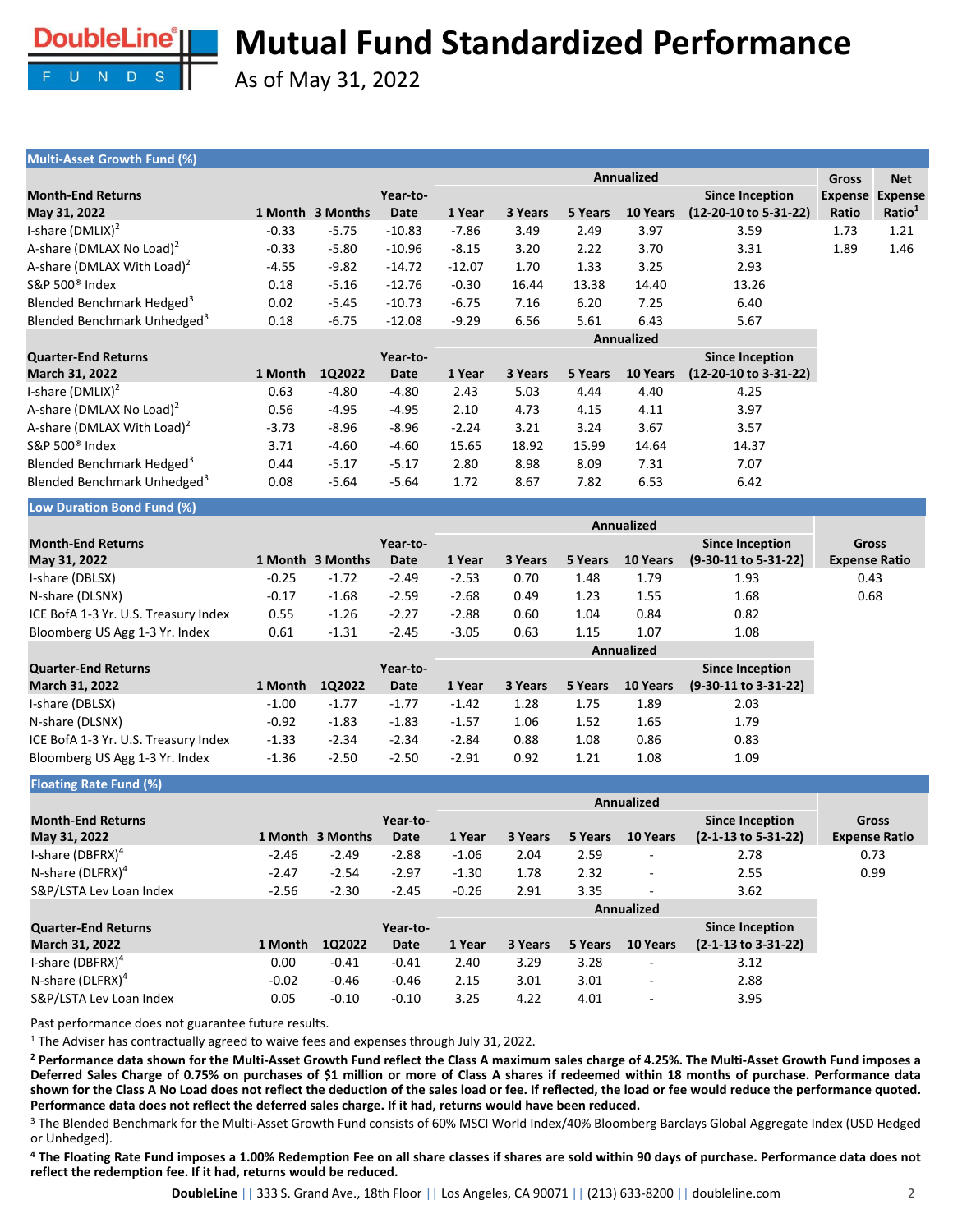

As of May 31, 2022

| Multi-Asset Growth Fund (%)             |         |                  |             |          |         |         |            |                        |                      |                    |
|-----------------------------------------|---------|------------------|-------------|----------|---------|---------|------------|------------------------|----------------------|--------------------|
|                                         |         |                  |             |          |         |         | Annualized |                        | <b>Gross</b>         | <b>Net</b>         |
| <b>Month-End Returns</b>                |         |                  | Year-to-    |          |         |         |            | <b>Since Inception</b> | <b>Expense</b>       | <b>Expense</b>     |
| May 31, 2022                            |         | 1 Month 3 Months | <b>Date</b> | 1 Year   | 3 Years | 5 Years | 10 Years   | (12-20-10 to 5-31-22)  | Ratio                | Ratio <sup>1</sup> |
| I-share $(DMLIX)^2$                     | $-0.33$ | $-5.75$          | $-10.83$    | $-7.86$  | 3.49    | 2.49    | 3.97       | 3.59                   | 1.73                 | 1.21               |
| A-share (DMLAX No Load) <sup>2</sup>    | $-0.33$ | $-5.80$          | $-10.96$    | $-8.15$  | 3.20    | 2.22    | 3.70       | 3.31                   | 1.89                 | 1.46               |
| A-share (DMLAX With Load) <sup>2</sup>  | $-4.55$ | $-9.82$          | $-14.72$    | $-12.07$ | 1.70    | 1.33    | 3.25       | 2.93                   |                      |                    |
| S&P 500 <sup>®</sup> Index              | 0.18    | $-5.16$          | $-12.76$    | $-0.30$  | 16.44   | 13.38   | 14.40      | 13.26                  |                      |                    |
| Blended Benchmark Hedged <sup>3</sup>   | 0.02    | $-5.45$          | $-10.73$    | $-6.75$  | 7.16    | 6.20    | 7.25       | 6.40                   |                      |                    |
| Blended Benchmark Unhedged <sup>3</sup> | 0.18    | $-6.75$          | $-12.08$    | $-9.29$  | 6.56    | 5.61    | 6.43       | 5.67                   |                      |                    |
|                                         |         |                  |             |          |         |         | Annualized |                        |                      |                    |
| <b>Quarter-End Returns</b>              |         |                  | Year-to-    |          |         |         |            | <b>Since Inception</b> |                      |                    |
| March 31, 2022                          | 1 Month | 1Q2022           | <b>Date</b> | 1 Year   | 3 Years | 5 Years | 10 Years   | (12-20-10 to 3-31-22)  |                      |                    |
| I-share $(DMLIX)^2$                     | 0.63    | $-4.80$          | $-4.80$     | 2.43     | 5.03    | 4.44    | 4.40       | 4.25                   |                      |                    |
| A-share (DMLAX No Load) <sup>2</sup>    | 0.56    | $-4.95$          | $-4.95$     | 2.10     | 4.73    | 4.15    | 4.11       | 3.97                   |                      |                    |
| A-share (DMLAX With Load) <sup>2</sup>  | $-3.73$ | $-8.96$          | $-8.96$     | $-2.24$  | 3.21    | 3.24    | 3.67       | 3.57                   |                      |                    |
| S&P 500 <sup>®</sup> Index              | 3.71    | $-4.60$          | $-4.60$     | 15.65    | 18.92   | 15.99   | 14.64      | 14.37                  |                      |                    |
| Blended Benchmark Hedged <sup>3</sup>   | 0.44    | $-5.17$          | $-5.17$     | 2.80     | 8.98    | 8.09    | 7.31       | 7.07                   |                      |                    |
| Blended Benchmark Unhedged <sup>3</sup> | 0.08    | $-5.64$          | $-5.64$     | 1.72     | 8.67    | 7.82    | 6.53       | 6.42                   |                      |                    |
| Low Duration Bond Fund (%)              |         |                  |             |          |         |         |            |                        |                      |                    |
|                                         |         |                  |             |          |         |         | Annualized |                        |                      |                    |
| <b>Month-End Returns</b>                |         |                  | Year-to-    |          |         |         |            | <b>Since Inception</b> | <b>Gross</b>         |                    |
| May 31, 2022                            |         | 1 Month 3 Months | Date        | 1 Year   | 3 Years | 5 Years | 10 Years   | (9-30-11 to 5-31-22)   | <b>Expense Ratio</b> |                    |
| I-share (DBLSX)                         | $-0.25$ | $-1.72$          | $-2.49$     | $-2.53$  | 0.70    | 1.48    | 1.79       | 1.93                   | 0.43                 |                    |
| N-share (DLSNX)                         | $-0.17$ | $-1.68$          | $-2.59$     | $-2.68$  | 0.49    | 1.23    | 1.55       | 1.68                   | 0.68                 |                    |
| ICE BofA 1-3 Yr. U.S. Treasury Index    | 0.55    | $-1.26$          | $-2.27$     | $-2.88$  | 0.60    | 1.04    | 0.84       | 0.82                   |                      |                    |
| Bloomberg US Agg 1-3 Yr. Index          | 0.61    | $-1.31$          | $-2.45$     | $-3.05$  | 0.63    | 1.15    | 1.07       | 1.08                   |                      |                    |
|                                         |         |                  |             |          |         |         | Annualized |                        |                      |                    |

|                                      |         |         |          | Annualized |         |         |          |                        |  |  |  |
|--------------------------------------|---------|---------|----------|------------|---------|---------|----------|------------------------|--|--|--|
| <b>Quarter-End Returns</b>           |         |         | Year-to- |            |         |         |          | <b>Since Inception</b> |  |  |  |
| <b>March 31, 2022</b>                | 1 Month | 102022  | Date     | 1 Year     | 3 Years | 5 Years | 10 Years | $(9-30-11$ to 3-31-22) |  |  |  |
| I-share (DBLSX)                      | $-1.00$ | $-1.77$ | $-1.77$  | $-1.42$    | 1.28    | 1.75    | 1.89     | 2.03                   |  |  |  |
| N-share (DLSNX)                      | $-0.92$ | $-1.83$ | $-1.83$  | $-1.57$    | 1.06    | 1.52    | 1.65     | 1.79                   |  |  |  |
| ICE BofA 1-3 Yr. U.S. Treasury Index | $-1.33$ | $-2.34$ | $-2.34$  | $-2.84$    | 0.88    | 1.08    | 0.86     | 0.83                   |  |  |  |
| Bloomberg US Agg 1-3 Yr. Index       | $-1.36$ | $-2.50$ | $-2.50$  | $-2.91$    | 0.92    | 1.21    | 1.08     | 1.09                   |  |  |  |

**Floating Rate Fund (%)**

| <b>Month-End Returns</b>     |         |                  | Year-to- |         |         |         |                          | <b>Since Inception</b>         | Gross                |
|------------------------------|---------|------------------|----------|---------|---------|---------|--------------------------|--------------------------------|----------------------|
| May 31, 2022                 |         | 1 Month 3 Months | Date     | 1 Year  | 3 Years | 5 Years | 10 Years                 | (2-1-13 to 5-31-22)            | <b>Expense Ratio</b> |
| I-share $(DBFRX)^4$          | $-2.46$ | $-2.49$          | $-2.88$  | $-1.06$ | 2.04    | 2.59    | $\overline{\phantom{a}}$ | 2.78                           | 0.73                 |
| N-share (DLFRX) <sup>4</sup> | $-2.47$ | $-2.54$          | $-2.97$  | $-1.30$ | 1.78    | 2.32    | ٠                        | 2.55                           | 0.99                 |
| S&P/LSTA Lev Loan Index      | $-2.56$ | $-2.30$          | $-2.45$  | $-0.26$ | 2.91    | 3.35    | $\overline{\phantom{a}}$ | 3.62                           |                      |
|                              |         |                  |          |         |         |         | <b>Annualized</b>        |                                |                      |
| <b>Quarter-End Returns</b>   |         |                  | Year-to- |         |         |         |                          | <b>Since Inception</b>         |                      |
| <b>March 31, 2022</b>        | 1 Month | 1Q2022           | Date     | 1 Year  | 3 Years | 5 Years | 10 Years                 | $(2-1-13 \text{ to } 3-31-22)$ |                      |
| I-share (DBFRX) $4$          | 0.00    | $-0.41$          | $-0.41$  | 2.40    | 3.29    | 3.28    | ٠                        | 3.12                           |                      |
| N-share (DLFRX) <sup>4</sup> | $-0.02$ | $-0.46$          | $-0.46$  | 2.15    | 3.01    | 3.01    | ٠                        | 2.88                           |                      |
| S&P/LSTA Lev Loan Index      | 0.05    | $-0.10$          | $-0.10$  | 3.25    | 4.22    | 4.01    | $\overline{\phantom{a}}$ | 3.95                           |                      |

Past performance does not guarantee future results.

<sup>1</sup> The Adviser has contractually agreed to waive fees and expenses through July 31, 2022.

<sup>2</sup> Performance data shown for the Multi-Asset Growth Fund reflect the Class A maximum sales charge of 4.25%. The Multi-Asset Growth Fund imposes a Deferred Sales Charge of 0.75% on purchases of \$1 million or more of Class A shares if redeemed within 18 months of purchase. Performance data shown for the Class A No Load does not reflect the deduction of the sales load or fee. If reflected, the load or fee would reduce the performance quoted. **Performance data does not reflect the deferred sales charge. If it had, returns would have been reduced.**

<sup>3</sup> The Blended Benchmark for the Multi-Asset Growth Fund consists of 60% MSCI World Index/40% Bloomberg Barclays Global Aggregate Index (USD Hedged or Unhedged).

<sup>4</sup> The Floating Rate Fund imposes a 1.00% Redemption Fee on all share classes if shares are sold within 90 days of purchase. Performance data does not **reflect the redemption fee. If it had, returns would be reduced.**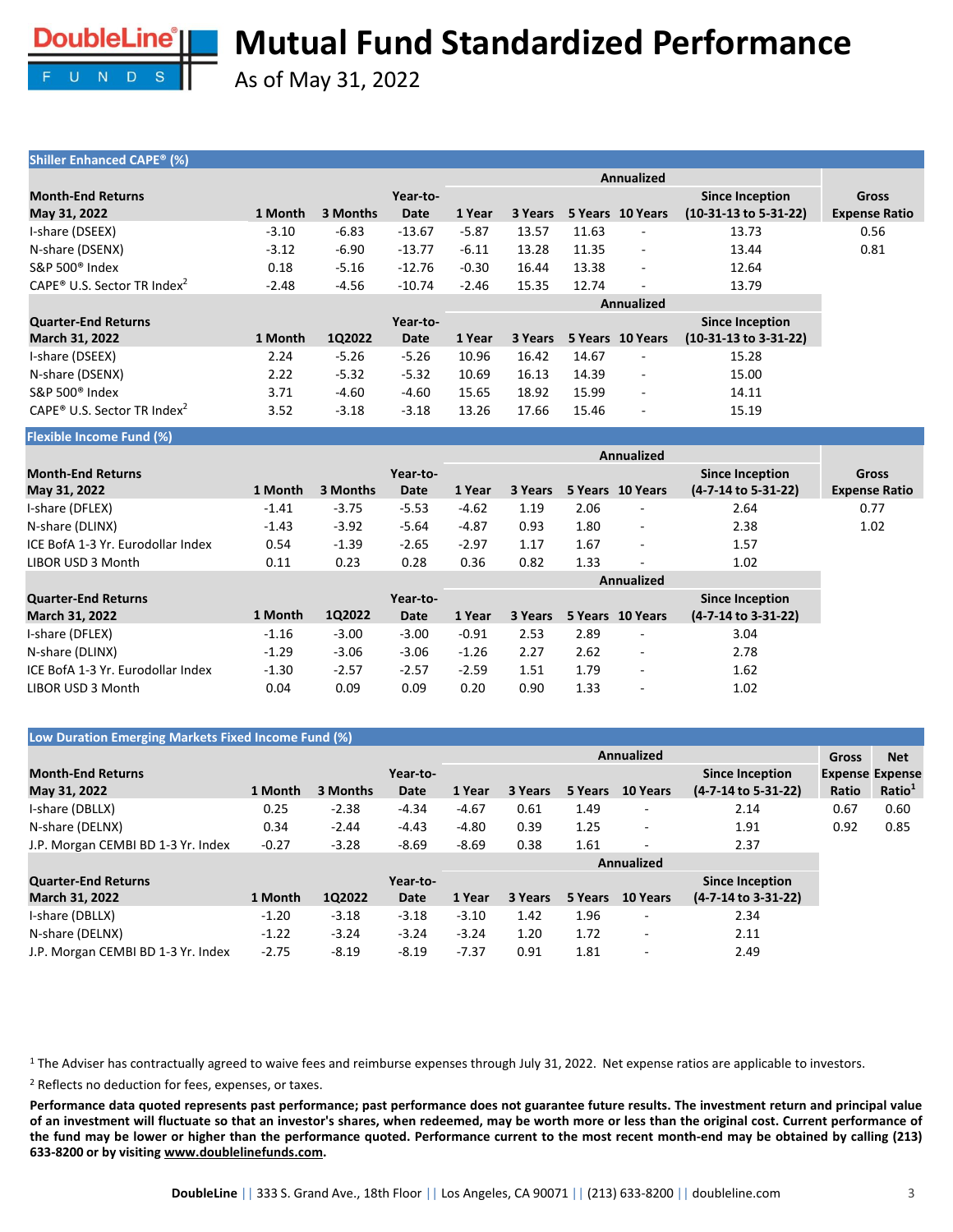

As of May 31, 2022

| <b>Shiller Enhanced CAPE<sup>®</sup> (%)</b>        |         |          |                         |         |         |       |                          |                                                            |                                      |
|-----------------------------------------------------|---------|----------|-------------------------|---------|---------|-------|--------------------------|------------------------------------------------------------|--------------------------------------|
|                                                     |         |          |                         |         |         |       | <b>Annualized</b>        |                                                            |                                      |
| <b>Month-End Returns</b><br>May 31, 2022            | 1 Month | 3 Months | Year-to-<br><b>Date</b> | 1 Year  | 3 Years |       | 5 Years 10 Years         | <b>Since Inception</b><br>$(10-31-13 \text{ to } 5-31-22)$ | <b>Gross</b><br><b>Expense Ratio</b> |
| I-share (DSEEX)                                     | $-3.10$ | $-6.83$  | $-13.67$                | $-5.87$ | 13.57   | 11.63 | $\overline{\phantom{a}}$ | 13.73                                                      | 0.56                                 |
| N-share (DSENX)                                     | $-3.12$ | $-6.90$  | $-13.77$                | $-6.11$ | 13.28   | 11.35 |                          | 13.44                                                      | 0.81                                 |
| S&P 500 <sup>®</sup> Index                          | 0.18    | $-5.16$  | $-12.76$                | $-0.30$ | 16.44   | 13.38 | $\sim$                   | 12.64                                                      |                                      |
| CAPE <sup>®</sup> U.S. Sector TR Index <sup>2</sup> | $-2.48$ | $-4.56$  | $-10.74$                | $-2.46$ | 15.35   | 12.74 | ÷                        | 13.79                                                      |                                      |
|                                                     |         |          |                         |         |         |       | <b>Annualized</b>        |                                                            |                                      |
| <b>Quarter-End Returns</b>                          |         |          | Year-to-                |         |         |       |                          | <b>Since Inception</b>                                     |                                      |
| March 31, 2022                                      | 1 Month | 1Q2022   | <b>Date</b>             | 1 Year  | 3 Years |       | 5 Years 10 Years         | (10-31-13 to 3-31-22)                                      |                                      |
| I-share (DSEEX)                                     | 2.24    | $-5.26$  | $-5.26$                 | 10.96   | 16.42   | 14.67 |                          | 15.28                                                      |                                      |
| N-share (DSENX)                                     | 2.22    | $-5.32$  | $-5.32$                 | 10.69   | 16.13   | 14.39 | $\sim$                   | 15.00                                                      |                                      |
| S&P 500 <sup>®</sup> Index                          | 3.71    | $-4.60$  | $-4.60$                 | 15.65   | 18.92   | 15.99 | ä,                       | 14.11                                                      |                                      |
| CAPE <sup>®</sup> U.S. Sector TR Index <sup>2</sup> | 3.52    | $-3.18$  | $-3.18$                 | 13.26   | 17.66   | 15.46 |                          | 15.19                                                      |                                      |
| <b>Flexible Income Fund (%)</b>                     |         |          |                         |         |         |       |                          |                                                            |                                      |
|                                                     |         |          |                         |         |         |       | Annualized               |                                                            |                                      |
| <b>Month-End Returns</b>                            |         |          | Year-to-                |         |         |       |                          | <b>Since Inception</b>                                     | <b>Gross</b>                         |
| May 31, 2022                                        | 1 Month | 3 Months | Date                    | 1 Year  | 3 Years |       | 5 Years 10 Years         | (4-7-14 to 5-31-22)                                        | <b>Expense Ratio</b>                 |
| I-share (DFLEX)                                     | $-1.41$ | $-3.75$  | $-5.53$                 | $-4.62$ | 1.19    | 2.06  |                          | 2.64                                                       | 0.77                                 |
| N-share (DLINX)                                     | $-1.43$ | $-3.92$  | $-5.64$                 | $-4.87$ | 0.93    | 1.80  | $\overline{\phantom{a}}$ | 2.38                                                       | 1.02                                 |
| ICE BofA 1-3 Yr. Eurodollar Index                   | 0.54    | $-1.39$  | $-2.65$                 | $-2.97$ | 1.17    | 1.67  | ٠                        | 1.57                                                       |                                      |
| LIBOR USD 3 Month                                   | 0.11    | 0.23     | 0.28                    | 0.36    | 0.82    | 1.33  |                          | 1.02                                                       |                                      |

|         |         | Year-to- |         |         |      |                          | <b>Since Inception</b>         |
|---------|---------|----------|---------|---------|------|--------------------------|--------------------------------|
| 1 Month | 1Q2022  | Date     | 1 Year  | 3 Years |      |                          | (4-7-14 to 3-31-22)            |
| $-1.16$ | $-3.00$ | $-3.00$  | $-0.91$ | 2.53    | 2.89 | ۰                        | 3.04                           |
| $-1.29$ | $-3.06$ | $-3.06$  | $-1.26$ | 2.27    | 2.62 | -                        | 2.78                           |
| $-1.30$ | $-2.57$ | $-2.57$  | $-2.59$ | 1.51    | 1.79 | $\overline{\phantom{a}}$ | 1.62                           |
| 0.04    | 0.09    | 0.09     | 0.20    | 0.90    | 1.33 | $\overline{\phantom{a}}$ | 1.02                           |
|         |         |          |         |         |      |                          | Annualized<br>5 Years 10 Years |

### **Low Duration Emerging Markets Fixed Income Fund (%)**

|                                    |         |          |          |         |         |         | <b>Gross</b>             | <b>Net</b>             |       |                        |
|------------------------------------|---------|----------|----------|---------|---------|---------|--------------------------|------------------------|-------|------------------------|
| <b>Month-End Returns</b>           |         |          | Year-to- |         |         |         |                          | <b>Since Inception</b> |       | <b>Expense Expense</b> |
| May 31, 2022                       | 1 Month | 3 Months | Date     | 1 Year  | 3 Years | 5 Years | 10 Years                 | (4-7-14 to 5-31-22)    | Ratio | Ratio <sup>1</sup>     |
| I-share (DBLLX)                    | 0.25    | $-2.38$  | $-4.34$  | $-4.67$ | 0.61    | 1.49    | $\overline{\phantom{a}}$ | 2.14                   | 0.67  | 0.60                   |
| N-share (DELNX)                    | 0.34    | $-2.44$  | $-4.43$  | $-4.80$ | 0.39    | 1.25    | $\sim$                   | 1.91                   | 0.92  | 0.85                   |
| J.P. Morgan CEMBI BD 1-3 Yr. Index | $-0.27$ | $-3.28$  | $-8.69$  | $-8.69$ | 0.38    | 1.61    | $\sim$                   | 2.37                   |       |                        |
|                                    |         |          |          |         |         |         | <b>Annualized</b>        |                        |       |                        |
| <b>Quarter-End Returns</b>         |         |          | Year-to- |         |         |         |                          | <b>Since Inception</b> |       |                        |
| <b>March 31, 2022</b>              | 1 Month | 1Q2022   | Date     | 1 Year  | 3 Years | 5 Years | 10 Years                 | (4-7-14 to 3-31-22)    |       |                        |
| I-share (DBLLX)                    | $-1.20$ | $-3.18$  | $-3.18$  | $-3.10$ | 1.42    | 1.96    | ۰                        | 2.34                   |       |                        |
| N-share (DELNX)                    | $-1.22$ | $-3.24$  | $-3.24$  | $-3.24$ | 1.20    | 1.72    | $\overline{\phantom{a}}$ | 2.11                   |       |                        |
| J.P. Morgan CEMBI BD 1-3 Yr. Index | $-2.75$ | $-8.19$  | $-8.19$  | $-7.37$ | 0.91    | 1.81    | $\overline{\phantom{a}}$ | 2.49                   |       |                        |

<sup>1</sup> The Adviser has contractually agreed to waive fees and reimburse expenses through July 31, 2022. Net expense ratios are applicable to investors.

<sup>2</sup> Reflects no deduction for fees, expenses, or taxes.

Performance data quoted represents past performance; past performance does not guarantee future results. The investment return and principal value of an investment will fluctuate so that an investor's shares, when redeemed, may be worth more or less than the original cost. Current performance of the fund may be lower or higher than the performance quoted. Performance current to the most recent month-end may be obtained by calling (213) **633-8200 or by visiting [www.doublelinefunds.com.](http://www.doublelinefunds.com/)**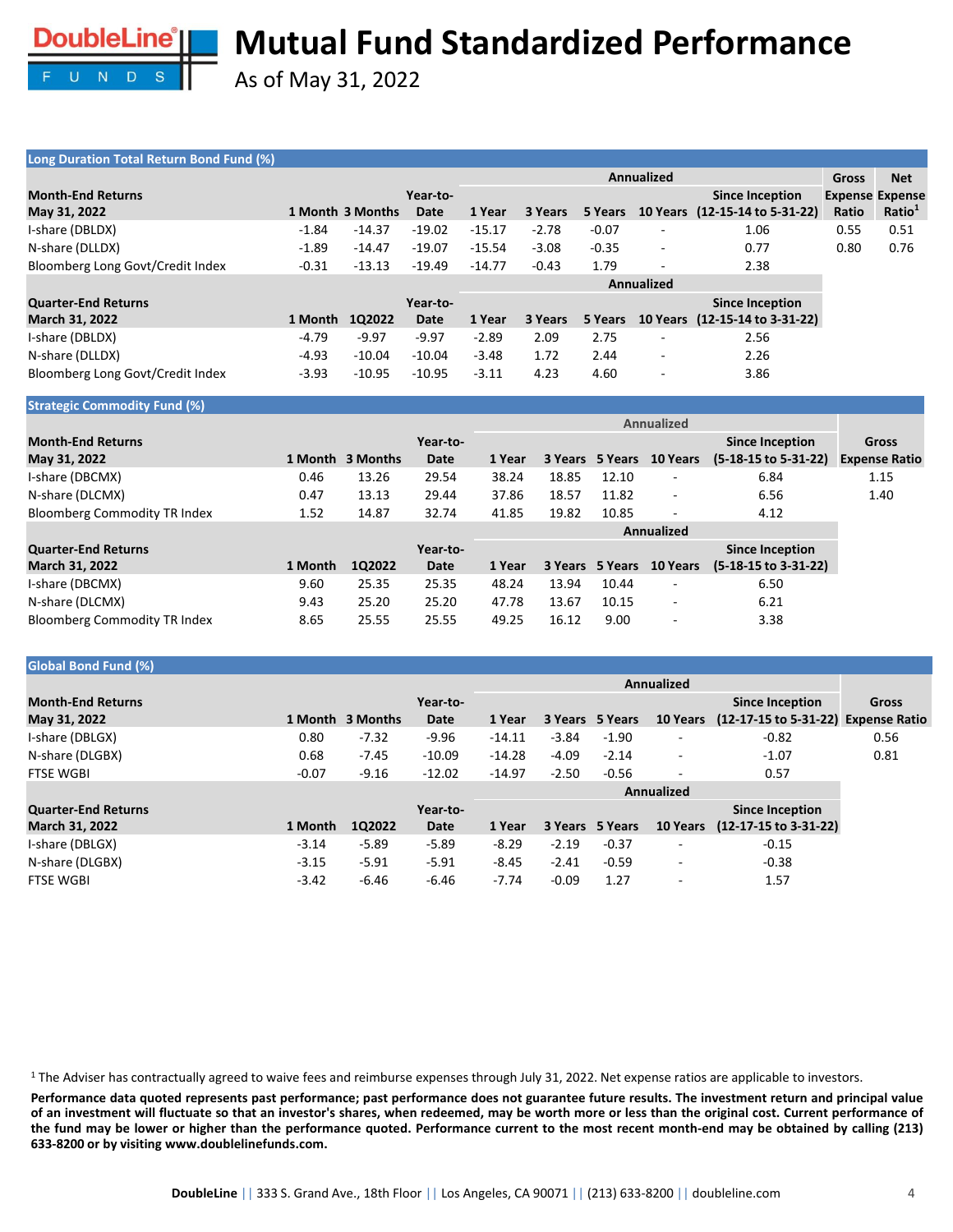

As of May 31, 2022

### **Long Duration Total Return Bond Fund (%)**

| <b>LONG DUILGION TOLUM NOTUR IS AND TO A LONG TO A LONG TO A LONG TO A LONG TO A LONG TO A LONG TO A LONG TO A LO</b> |         |                  |          |          |         |         |                          |                                |              |                        |
|-----------------------------------------------------------------------------------------------------------------------|---------|------------------|----------|----------|---------|---------|--------------------------|--------------------------------|--------------|------------------------|
|                                                                                                                       |         |                  |          |          |         |         | <b>Annualized</b>        |                                | <b>Gross</b> | <b>Net</b>             |
| <b>Month-End Returns</b>                                                                                              |         |                  | Year-to- |          |         |         |                          | <b>Since Inception</b>         |              | <b>Expense Expense</b> |
| May 31, 2022                                                                                                          |         | 1 Month 3 Months | Date     | 1 Year   | 3 Years | 5 Years |                          | 10 Years (12-15-14 to 5-31-22) | Ratio        | Ratio <sup>1</sup>     |
| I-share (DBLDX)                                                                                                       | $-1.84$ | $-14.37$         | $-19.02$ | $-15.17$ | $-2.78$ | $-0.07$ |                          | 1.06                           | 0.55         | 0.51                   |
| N-share (DLLDX)                                                                                                       | $-1.89$ | $-14.47$         | $-19.07$ | $-15.54$ | $-3.08$ | $-0.35$ |                          | 0.77                           | 0.80         | 0.76                   |
| Bloomberg Long Govt/Credit Index                                                                                      | $-0.31$ | $-13.13$         | $-19.49$ | $-14.77$ | $-0.43$ | 1.79    |                          | 2.38                           |              |                        |
|                                                                                                                       |         |                  |          |          |         |         | <b>Annualized</b>        |                                |              |                        |
| <b>Quarter-End Returns</b>                                                                                            |         |                  | Year-to- |          |         |         |                          | <b>Since Inception</b>         |              |                        |
| <b>March 31, 2022</b>                                                                                                 | 1 Month | 1Q2022           | Date     | 1 Year   | 3 Years | 5 Years |                          | 10 Years (12-15-14 to 3-31-22) |              |                        |
| I-share (DBLDX)                                                                                                       | -4.79   | $-9.97$          | $-9.97$  | $-2.89$  | 2.09    | 2.75    |                          | 2.56                           |              |                        |
| N-share (DLLDX)                                                                                                       | $-4.93$ | $-10.04$         | $-10.04$ | $-3.48$  | 1.72    | 2.44    | $\overline{\phantom{a}}$ | 2.26                           |              |                        |
| Bloomberg Long Govt/Credit Index                                                                                      | $-3.93$ | $-10.95$         | $-10.95$ | $-3.11$  | 4.23    | 4.60    |                          | 3.86                           |              |                        |

#### **Strategic Commodity Fund (%) Month-End Returns May 31, 2022 1 Month 3 Months Year-to-Date Annualized Gross** 1 Year 3 Years 5 Years 10 Years (5-18-15 to 5-31-22) Expense Ratio **Since Inception (5-18-15 to 5-31-22)** I-share (DBCMX) 0.46 13.26 29.54 38.24 18.85 12.10 - 6.84 1.15 N-share (DLCMX) 0.47 13.13 29.44 37.86 18.57 11.82 - 6.56 1.40 Bloomberg Commodity TR Index 1.52 14.87 32.74 41.85 19.82 10.85 - 4.12 **Quarter-End Returns March 31, 2022 1 Month 1Q2022 Year-to-Date Annualized 1 Year 3 Years 5 Years 10 Years Since Inception (5-18-15 to 3-31-22)** I-share (DBCMX) 9.60 25.35 25.35 48.24 13.94 10.44 - 6.50 N-share (DLCMX) 9.43 25.20 25.20 47.78 13.67 10.15 - 6.21 Bloomberg Commodity TR Index 8.65 25.55 25.55 49.25 16.12 9.00 - 3.38

#### **Global Bond Fund (%) Month-End Returns May 31, 2022 1 Month 3 Months Year-to-Date Annualized Gross 1 Year 3 Years 5 Years 10 Years Expense Ratio (12-17-15 to 5-31-22) Since Inception** I-share (DBLGX) 0.80 -7.32 -9.96 -14.11 -3.84 -1.90 - -0.82 0.56 N-share (DLGBX) 0.68 -7.45 -10.09 -14.28 -4.09 -2.14 -1.07 0.81 FTSE WGBI -0.07 -9.16 -12.02 -14.97 -2.50 -0.56 - 0.57 **Quarter-End Returns March 31, 2022 1 Month 1Q2022 Year-to-Date Annualized 1 Year 3 Years 5 Years Since Inception (12-17-15 to 3-31-22)** I-share (DBLGX) -3.14 -5.89 -5.89 -8.29 -2.19 -0.37 - -0.15 N-share (DLGBX) -3.15 -5.91 -5.91 -8.45 -2.41 -0.59 - -0.38 FTSE WGBI -3.42 -6.46 -6.46 -7.74 -0.09 1.27 - 1.57

<sup>1</sup> The Adviser has contractually agreed to waive fees and reimburse expenses through July 31, 2022. Net expense ratios are applicable to investors.

Performance data quoted represents past performance; past performance does not guarantee future results. The investment return and principal value of an investment will fluctuate so that an investor's shares, when redeemed, may be worth more or less than the original cost. Current performance of the fund may be lower or higher than the performance quoted. Performance current to the most recent month-end may be obtained by calling (213) **633-8200 or by visiting www.doublelinefunds.com.**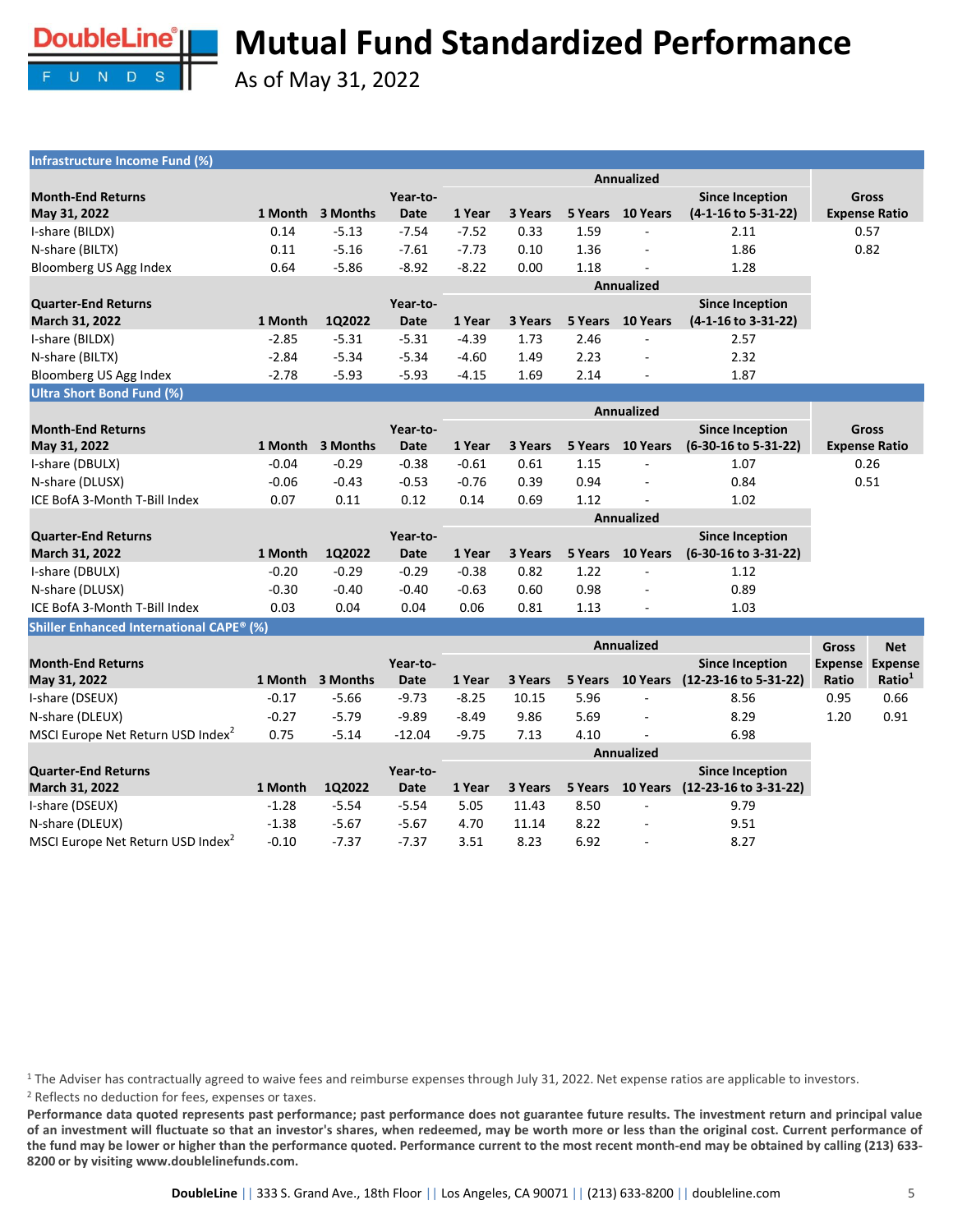

MSCI Europe Net Return USD Index<sup>2</sup>

# **Mutual Fund Standardized Performance**

As of May 31, 2022

| Infrastructure Income Fund (%)                |         |                  |             |         |         |         |                   |                                        |                |                      |
|-----------------------------------------------|---------|------------------|-------------|---------|---------|---------|-------------------|----------------------------------------|----------------|----------------------|
|                                               |         |                  |             |         |         |         | Annualized        |                                        |                |                      |
| <b>Month-End Returns</b>                      |         |                  | Year-to-    |         |         |         |                   | <b>Since Inception</b>                 |                | Gross                |
| May 31, 2022                                  |         | 1 Month 3 Months | <b>Date</b> | 1 Year  | 3 Years |         | 5 Years 10 Years  | (4-1-16 to 5-31-22)                    |                | <b>Expense Ratio</b> |
| I-share (BILDX)                               | 0.14    | $-5.13$          | $-7.54$     | $-7.52$ | 0.33    | 1.59    |                   | 2.11                                   |                | 0.57                 |
| N-share (BILTX)                               | 0.11    | $-5.16$          | $-7.61$     | $-7.73$ | 0.10    | 1.36    |                   | 1.86                                   |                | 0.82                 |
| Bloomberg US Agg Index                        | 0.64    | $-5.86$          | $-8.92$     | $-8.22$ | 0.00    | 1.18    |                   | 1.28                                   |                |                      |
|                                               |         |                  |             |         |         |         | <b>Annualized</b> |                                        |                |                      |
| <b>Quarter-End Returns</b>                    |         |                  | Year-to-    |         |         |         |                   | <b>Since Inception</b>                 |                |                      |
| March 31, 2022                                | 1 Month | 1Q2022           | <b>Date</b> | 1 Year  | 3 Years | 5 Years | 10 Years          | (4-1-16 to 3-31-22)                    |                |                      |
| I-share (BILDX)                               | $-2.85$ | $-5.31$          | $-5.31$     | $-4.39$ | 1.73    | 2.46    |                   | 2.57                                   |                |                      |
| N-share (BILTX)                               | $-2.84$ | $-5.34$          | $-5.34$     | $-4.60$ | 1.49    | 2.23    |                   | 2.32                                   |                |                      |
| Bloomberg US Agg Index                        | $-2.78$ | $-5.93$          | $-5.93$     | $-4.15$ | 1.69    | 2.14    |                   | 1.87                                   |                |                      |
| <b>Ultra Short Bond Fund (%)</b>              |         |                  |             |         |         |         |                   |                                        |                |                      |
|                                               |         |                  |             |         |         |         | Annualized        |                                        |                |                      |
| <b>Month-End Returns</b>                      |         |                  | Year-to-    |         |         |         |                   | <b>Since Inception</b>                 |                | <b>Gross</b>         |
| May 31, 2022                                  |         | 1 Month 3 Months | <b>Date</b> | 1 Year  | 3 Years | 5 Years | 10 Years          | (6-30-16 to 5-31-22)                   |                | <b>Expense Ratio</b> |
| I-share (DBULX)                               | $-0.04$ | $-0.29$          | $-0.38$     | $-0.61$ | 0.61    | 1.15    |                   | 1.07                                   |                | 0.26                 |
| N-share (DLUSX)                               | $-0.06$ | $-0.43$          | $-0.53$     | $-0.76$ | 0.39    | 0.94    |                   | 0.84                                   |                | 0.51                 |
| ICE BofA 3-Month T-Bill Index                 | 0.07    | 0.11             | 0.12        | 0.14    | 0.69    | 1.12    |                   | 1.02                                   |                |                      |
|                                               |         |                  |             |         |         |         | <b>Annualized</b> |                                        |                |                      |
| <b>Quarter-End Returns</b>                    |         |                  | Year-to-    |         |         |         |                   | <b>Since Inception</b>                 |                |                      |
| March 31, 2022                                | 1 Month | 1Q2022           | <b>Date</b> | 1 Year  | 3 Years | 5 Years | 10 Years          | (6-30-16 to 3-31-22)                   |                |                      |
| I-share (DBULX)                               | $-0.20$ | $-0.29$          | $-0.29$     | $-0.38$ | 0.82    | 1.22    |                   | 1.12                                   |                |                      |
| N-share (DLUSX)                               | $-0.30$ | $-0.40$          | $-0.40$     | $-0.63$ | 0.60    | 0.98    |                   | 0.89                                   |                |                      |
| ICE BofA 3-Month T-Bill Index                 | 0.03    | 0.04             | 0.04        | 0.06    | 0.81    | 1.13    | ÷,                | 1.03                                   |                |                      |
| Shiller Enhanced International CAPE® (%)      |         |                  |             |         |         |         |                   |                                        |                |                      |
|                                               |         |                  |             |         |         |         | <b>Annualized</b> |                                        | <b>Gross</b>   | <b>Net</b>           |
| <b>Month-End Returns</b>                      |         |                  | Year-to-    |         |         |         |                   | <b>Since Inception</b>                 | <b>Expense</b> | <b>Expense</b>       |
| May 31, 2022                                  | 1 Month | 3 Months         | <b>Date</b> | 1 Year  | 3 Years | 5 Years | 10 Years          | (12-23-16 to 5-31-22)                  | Ratio          | Ratio <sup>1</sup>   |
| I-share (DSEUX)                               | $-0.17$ | $-5.66$          | $-9.73$     | $-8.25$ | 10.15   | 5.96    |                   | 8.56                                   | 0.95           | 0.66                 |
| N-share (DLEUX)                               | $-0.27$ | $-5.79$          | $-9.89$     | $-8.49$ | 9.86    | 5.69    |                   | 8.29                                   | 1.20           | 0.91                 |
| MSCI Europe Net Return USD Index <sup>2</sup> | 0.75    | $-5.14$          | $-12.04$    | $-9.75$ | 7.13    | 4.10    |                   | 6.98                                   |                |                      |
|                                               |         |                  |             |         |         |         | Annualized        |                                        |                |                      |
| <b>Quarter-End Returns</b>                    |         |                  | Year-to-    |         |         |         |                   | <b>Since Inception</b>                 |                |                      |
| March 31, 2022                                | 1 Month | 1Q2022           | <b>Date</b> | 1 Year  | 3 Years |         |                   | 5 Years 10 Years (12-23-16 to 3-31-22) |                |                      |
| I-share (DSEUX)                               | $-1.28$ | $-5.54$          | $-5.54$     | 5.05    | 11.43   | 8.50    |                   | 9.79                                   |                |                      |
| N-share (DLEUX)                               | $-1.38$ | $-5.67$          | $-5.67$     | 4.70    | 11.14   | 8.22    |                   | 9.51                                   |                |                      |

<sup>1</sup> The Adviser has contractually agreed to waive fees and reimburse expenses through July 31, 2022. Net expense ratios are applicable to investors. <sup>2</sup> Reflects no deduction for fees, expenses or taxes.

Performance data quoted represents past performance; past performance does not guarantee future results. The investment return and principal value of an investment will fluctuate so that an investor's shares, when redeemed, may be worth more or less than the original cost. Current performance of the fund may be lower or higher than the performance quoted. Performance current to the most recent month-end may be obtained by calling (213) 633-**8200 or by visiting www.doublelinefunds.com.**

-0.10 -7.37 -7.37 3.51 8.23 6.92 - 8.27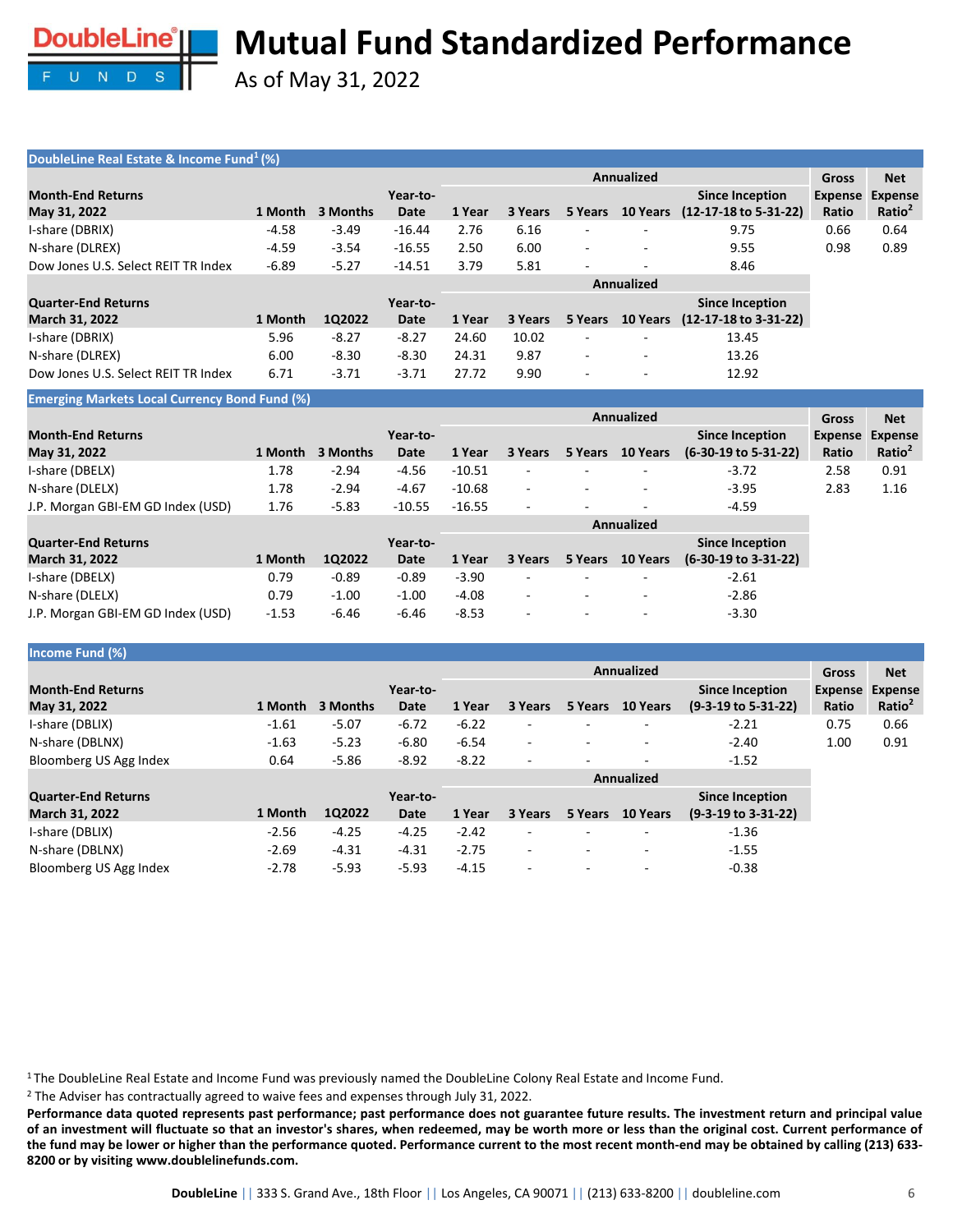

As of May 31, 2022

### **DoubleLine Real Estate & Income Fund<sup>1</sup>(%)**

|                                     |         |          |          | <b>Annualized</b> |         |                          |                          |                                  |         | <b>Net</b>         |
|-------------------------------------|---------|----------|----------|-------------------|---------|--------------------------|--------------------------|----------------------------------|---------|--------------------|
| <b>Month-End Returns</b>            |         |          | Year-to- |                   |         |                          |                          | <b>Since Inception</b>           | Expense | <b>Expense</b>     |
| May 31, 2022                        | 1 Month | 3 Months | Date     | 1 Year            | 3 Years | 5 Years                  | <b>10 Years</b>          | $(12-17-18 \text{ to } 5-31-22)$ | Ratio   | Ratio <sup>2</sup> |
| I-share (DBRIX)                     | $-4.58$ | $-3.49$  | $-16.44$ | 2.76              | 6.16    |                          | -                        | 9.75                             | 0.66    | 0.64               |
| N-share (DLREX)                     | $-4.59$ | $-3.54$  | $-16.55$ | 2.50              | 6.00    | $\sim$                   | $\overline{\phantom{0}}$ | 9.55                             | 0.98    | 0.89               |
| Dow Jones U.S. Select REIT TR Index | $-6.89$ | $-5.27$  | $-14.51$ | 3.79              | 5.81    | $\sim$                   | $\overline{\phantom{0}}$ | 8.46                             |         |                    |
|                                     |         |          |          |                   |         |                          | Annualized               |                                  |         |                    |
| <b>Quarter-End Returns</b>          |         |          | Year-to- |                   |         |                          |                          | <b>Since Inception</b>           |         |                    |
| <b>March 31, 2022</b>               | 1 Month | 1Q2022   | Date     | 1 Year            | 3 Years | 5 Years                  | <b>10 Years</b>          | $(12-17-18 \text{ to } 3-31-22)$ |         |                    |
| I-share (DBRIX)                     | 5.96    | $-8.27$  | $-8.27$  | 24.60             | 10.02   |                          |                          | 13.45                            |         |                    |
| N-share (DLREX)                     | 6.00    | $-8.30$  | $-8.30$  | 24.31             | 9.87    | $\overline{\phantom{a}}$ | $\overline{\phantom{0}}$ | 13.26                            |         |                    |
| Dow Jones U.S. Select REIT TR Index | 6.71    | $-3.71$  | $-3.71$  | 27.72             | 9.90    |                          |                          | 12.92                            |         |                    |

**Emerging Markets Local Currency Bond Fund (%)**

|                                          |         |          |                  | <b>Annualized</b> |         |         |                          |                                                   |                         | <b>Net</b>                           |
|------------------------------------------|---------|----------|------------------|-------------------|---------|---------|--------------------------|---------------------------------------------------|-------------------------|--------------------------------------|
| <b>Month-End Returns</b><br>May 31, 2022 | 1 Month | 3 Months | Year-to-<br>Date | 1 Year            | 3 Years | 5 Years | <b>10 Years</b>          | <b>Since Inception</b><br>$(6-30-19)$ to 5-31-22) | <b>Expense</b><br>Ratio | <b>Expense</b><br>Ratio <sup>2</sup> |
| I-share (DBELX)                          | 1.78    | $-2.94$  | $-4.56$          | $-10.51$          | ۰       |         |                          | $-3.72$                                           | 2.58                    | 0.91                                 |
| N-share (DLELX)                          | 1.78    | $-2.94$  | $-4.67$          | $-10.68$          | ٠       |         |                          | $-3.95$                                           | 2.83                    | 1.16                                 |
| J.P. Morgan GBI-EM GD Index (USD)        | 1.76    | $-5.83$  | $-10.55$         | $-16.55$          | ۰       |         |                          | $-4.59$                                           |                         |                                      |
|                                          |         |          |                  |                   |         |         |                          |                                                   |                         |                                      |
| <b>Quarter-End Returns</b>               |         |          | Year-to-         |                   |         |         |                          | <b>Since Inception</b>                            |                         |                                      |
| March 31, 2022                           | 1 Month | 1Q2022   | Date             | 1 Year            | 3 Years | 5 Years | <b>10 Years</b>          | $(6-30-19 \text{ to } 3-31-22)$                   |                         |                                      |
| I-share (DBELX)                          | 0.79    | $-0.89$  | $-0.89$          | $-3.90$           | ۰       |         |                          | $-2.61$                                           |                         |                                      |
| N-share (DLELX)                          | 0.79    | $-1.00$  | $-1.00$          | $-4.08$           | ۰       |         | $\overline{\phantom{a}}$ | $-2.86$                                           |                         |                                      |
| J.P. Morgan GBI-EM GD Index (USD)        | $-1.53$ | $-6.46$  | $-6.46$          | $-8.53$           | ۰       |         |                          | $-3.30$                                           |                         |                                      |

#### **Income Fund (%)**

|                                          |         |          |                  | <b>Annualized</b> |                          |                          |                          |                                                          | Gross                   | <b>Net</b>                           |
|------------------------------------------|---------|----------|------------------|-------------------|--------------------------|--------------------------|--------------------------|----------------------------------------------------------|-------------------------|--------------------------------------|
| <b>Month-End Returns</b><br>May 31, 2022 | 1 Month | 3 Months | Year-to-<br>Date | 1 Year            | 3 Years                  | 5 Years                  | 10 Years                 | <b>Since Inception</b><br>$(9-3-19 \text{ to } 5-31-22)$ | <b>Expense</b><br>Ratio | <b>Expense</b><br>Ratio <sup>2</sup> |
| I-share (DBLIX)                          | $-1.61$ | $-5.07$  | $-6.72$          | $-6.22$           | -                        |                          |                          | $-2.21$                                                  | 0.75                    | 0.66                                 |
| N-share (DBLNX)                          | $-1.63$ | $-5.23$  | $-6.80$          | $-6.54$           | $\overline{\phantom{0}}$ | $\overline{a}$           |                          | $-2.40$                                                  | 1.00                    | 0.91                                 |
| Bloomberg US Agg Index                   | 0.64    | $-5.86$  | $-8.92$          | $-8.22$           |                          | $\overline{a}$           |                          | $-1.52$                                                  |                         |                                      |
|                                          |         |          |                  | <b>Annualized</b> |                          |                          |                          |                                                          |                         |                                      |
| <b>Quarter-End Returns</b>               |         |          | Year-to-         |                   |                          |                          |                          | <b>Since Inception</b>                                   |                         |                                      |
| <b>March 31, 2022</b>                    | 1 Month | 1Q2022   | Date             | 1 Year            | 3 Years                  | 5 Years                  | 10 Years                 | $(9-3-19 \text{ to } 3-31-22)$                           |                         |                                      |
| I-share (DBLIX)                          | $-2.56$ | $-4.25$  | $-4.25$          | $-2.42$           |                          | $\overline{\phantom{0}}$ | $\overline{\phantom{a}}$ | $-1.36$                                                  |                         |                                      |
| N-share (DBLNX)                          | $-2.69$ | $-4.31$  | $-4.31$          | $-2.75$           | -                        | $\overline{\phantom{a}}$ | $\overline{\phantom{a}}$ | $-1.55$                                                  |                         |                                      |

<sup>1</sup> The DoubleLine Real Estate and Income Fund was previously named the DoubleLine Colony Real Estate and Income Fund.

Bloomberg US Agg Index -2.78 -5.93 -5.93 -4.15 - - - - - - - - - -0.38

<sup>2</sup> The Adviser has contractually agreed to waive fees and expenses through July 31, 2022.

Performance data quoted represents past performance; past performance does not guarantee future results. The investment return and principal value of an investment will fluctuate so that an investor's shares, when redeemed, may be worth more or less than the original cost. Current performance of the fund may be lower or higher than the performance quoted. Performance current to the most recent month-end may be obtained by calling (213) 633-**8200 or by visiting www.doublelinefunds.com.**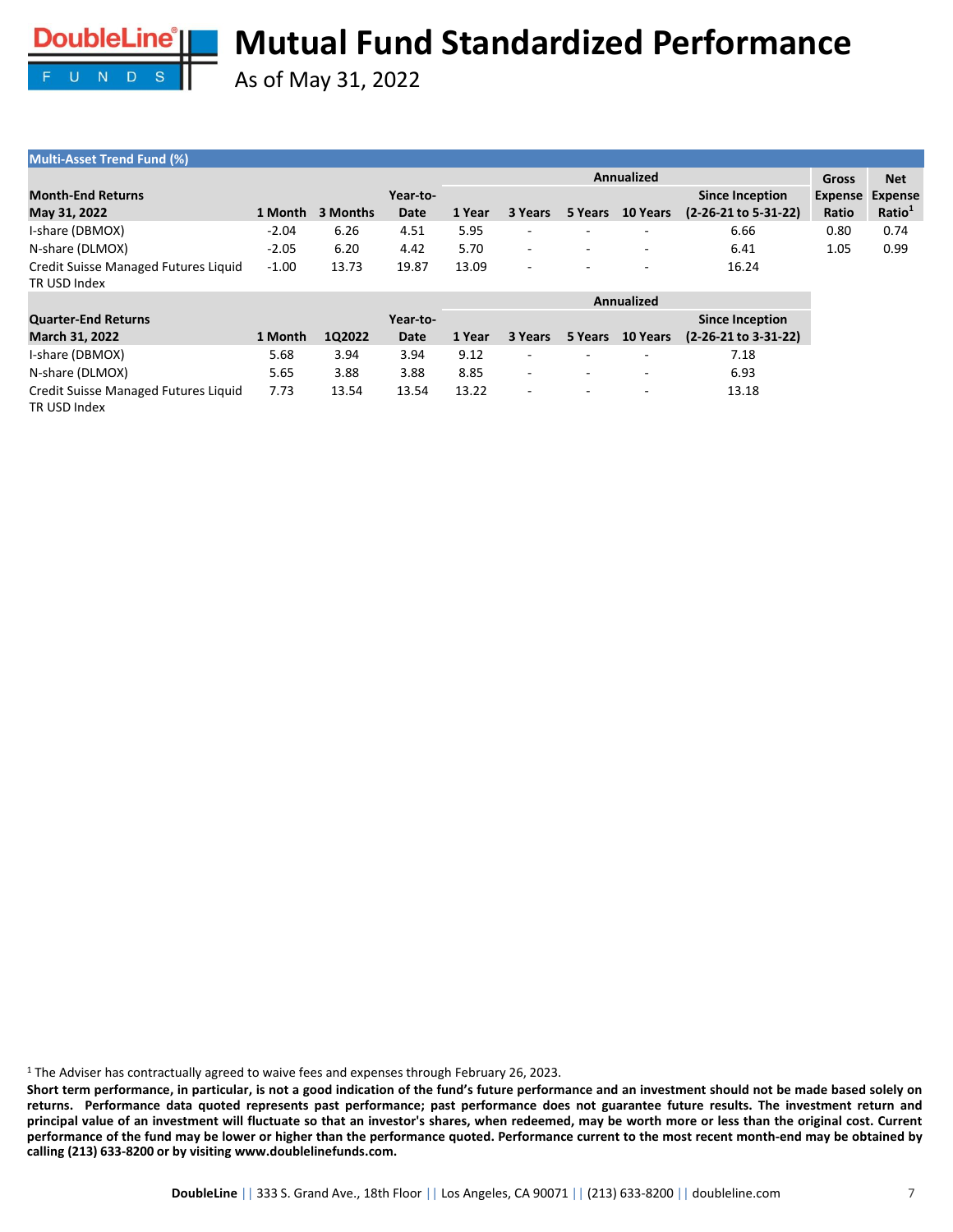

As of May 31, 2022

| <b>Multi-Asset Trend Fund (%)</b>                    |         |          |          |            |                          |                          |                          |                        |                |                    |
|------------------------------------------------------|---------|----------|----------|------------|--------------------------|--------------------------|--------------------------|------------------------|----------------|--------------------|
|                                                      |         |          |          | Annualized |                          |                          |                          |                        |                | <b>Net</b>         |
| <b>Month-End Returns</b>                             |         |          | Year-to- |            |                          |                          |                          | <b>Since Inception</b> | <b>Expense</b> | <b>Expense</b>     |
| May 31, 2022                                         | 1 Month | 3 Months | Date     | 1 Year     | 3 Years                  | 5 Years                  | <b>10 Years</b>          | (2-26-21 to 5-31-22)   | Ratio          | Ratio <sup>1</sup> |
| I-share (DBMOX)                                      | $-2.04$ | 6.26     | 4.51     | 5.95       | $\overline{\phantom{0}}$ | $\overline{\phantom{a}}$ | -                        | 6.66                   | 0.80           | 0.74               |
| N-share (DLMOX)                                      | $-2.05$ | 6.20     | 4.42     | 5.70       | $\sim$                   | $\overline{\phantom{a}}$ | $\overline{\phantom{a}}$ | 6.41                   | 1.05           | 0.99               |
| Credit Suisse Managed Futures Liquid<br>TR USD Index | $-1.00$ | 13.73    | 19.87    | 13.09      | -                        | $\overline{\phantom{a}}$ | $\overline{\phantom{0}}$ | 16.24                  |                |                    |

|                                                      |         |        |          | Annualized |                          |                          |                          |                        |  |
|------------------------------------------------------|---------|--------|----------|------------|--------------------------|--------------------------|--------------------------|------------------------|--|
| <b>Quarter-End Returns</b>                           |         |        | Year-to- |            |                          |                          |                          | <b>Since Inception</b> |  |
| <b>March 31, 2022</b>                                | 1 Month | 102022 | Date     | 1 Year     | 3 Years                  | 5 Years                  | <b>10 Years</b>          | $(2-26-21$ to 3-31-22) |  |
| I-share (DBMOX)                                      | 5.68    | 3.94   | 3.94     | 9.12       | $\overline{\phantom{a}}$ | $\sim$                   | ٠                        | 7.18                   |  |
| N-share (DLMOX)                                      | 5.65    | 3.88   | 3.88     | 8.85       | ۰                        | $\overline{\phantom{a}}$ | $\overline{\phantom{0}}$ | 6.93                   |  |
| Credit Suisse Managed Futures Liquid<br>TR USD Index | 7.73    | 13.54  | 13.54    | 13.22      |                          | $\overline{\phantom{a}}$ | $\overline{\phantom{0}}$ | 13.18                  |  |

<sup>1</sup> The Adviser has contractually agreed to waive fees and expenses through February 26, 2023.

Short term performance, in particular, is not a good indication of the fund's future performance and an investment should not be made based solely on returns. Performance data quoted represents past performance; past performance does not guarantee future results. The investment return and principal value of an investment will fluctuate so that an investor's shares, when redeemed, may be worth more or less than the original cost. Current performance of the fund may be lower or higher than the performance quoted. Performance current to the most recent month-end may be obtained by **calling (213) 633-8200 or by visiting www.doublelinefunds.com.**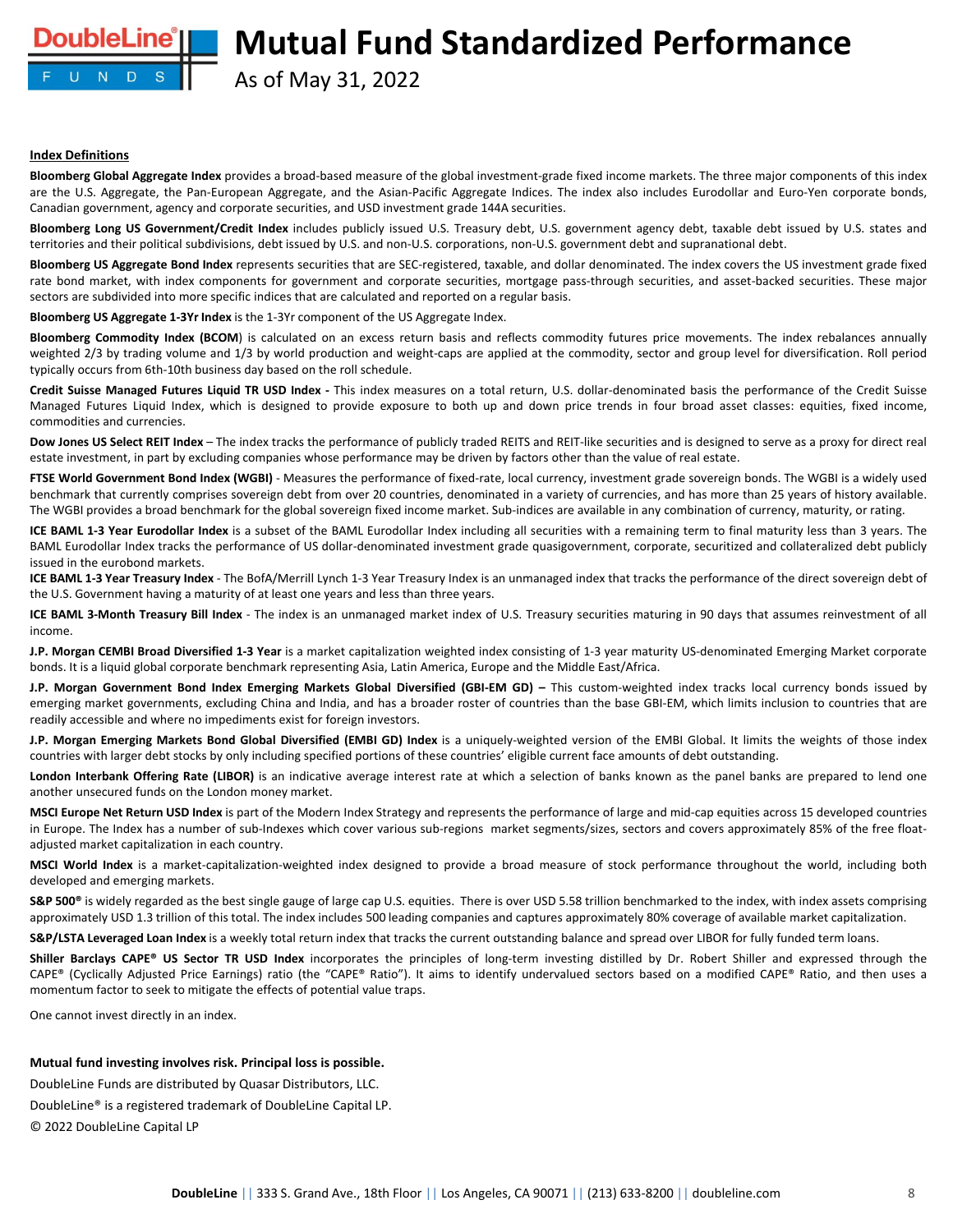As of May 31, 2022

#### **Index Definitions**

**oubleLine**°II

U N D S

**Bloomberg Global Aggregate Index** provides a broad-based measure of the global investment-grade fixed income markets. The three major components of this index are the U.S. Aggregate, the Pan-European Aggregate, and the Asian-Pacific Aggregate Indices. The index also includes Eurodollar and Euro-Yen corporate bonds, Canadian government, agency and corporate securities, and USD investment grade 144A securities.

**Bloomberg Long US Government/Credit Index** includes publicly issued U.S. Treasury debt, U.S. government agency debt, taxable debt issued by U.S. states and territories and their political subdivisions, debt issued by U.S. and non-U.S. corporations, non-U.S. government debt and supranational debt.

**Bloomberg US Aggregate Bond Index** represents securities that are SEC-registered, taxable, and dollar denominated. The index covers the US investment grade fixed rate bond market, with index components for government and corporate securities, mortgage pass-through securities, and asset-backed securities. These major sectors are subdivided into more specific indices that are calculated and reported on a regular basis.

**Bloomberg US Aggregate 1-3Yr Index** is the 1-3Yr component of the US Aggregate Index.

**Bloomberg Commodity Index (BCOM**) is calculated on an excess return basis and reflects commodity futures price movements. The index rebalances annually weighted 2/3 by trading volume and 1/3 by world production and weight-caps are applied at the commodity, sector and group level for diversification. Roll period typically occurs from 6th-10th business day based on the roll schedule.

**Credit Suisse Managed Futures Liquid TR USD Index -** This index measures on a total return, U.S. dollar-denominated basis the performance of the Credit Suisse Managed Futures Liquid Index, which is designed to provide exposure to both up and down price trends in four broad asset classes: equities, fixed income, commodities and currencies.

**Dow Jones US Select REIT Index** – The index tracks the performance of publicly traded REITS and REIT-like securities and is designed to serve as a proxy for direct real estate investment, in part by excluding companies whose performance may be driven by factors other than the value of real estate.

**FTSE World Government Bond Index (WGBI)** - Measures the performance of fixed-rate, local currency, investment grade sovereign bonds. The WGBI is a widely used benchmark that currently comprises sovereign debt from over 20 countries, denominated in a variety of currencies, and has more than 25 years of history available. The WGBI provides a broad benchmark for the global sovereign fixed income market. Sub-indices are available in any combination of currency, maturity, or rating.

**ICE BAML 1-3 Year Eurodollar Index** is a subset of the BAML Eurodollar Index including all securities with a remaining term to final maturity less than 3 years. The BAML Eurodollar Index tracks the performance of US dollar-denominated investment grade quasigovernment, corporate, securitized and collateralized debt publicly issued in the eurobond markets.

**ICE BAML 1-3 Year Treasury Index** - The BofA/Merrill Lynch 1-3 Year Treasury Index is an unmanaged index that tracks the performance of the direct sovereign debt of the U.S. Government having a maturity of at least one years and less than three years.

**ICE BAML 3-Month Treasury Bill Index** - The index is an unmanaged market index of U.S. Treasury securities maturing in 90 days that assumes reinvestment of all income.

**J.P. Morgan CEMBI Broad Diversified 1-3 Year** is a market capitalization weighted index consisting of 1-3 year maturity US-denominated Emerging Market corporate bonds. It is a liquid global corporate benchmark representing Asia, Latin America, Europe and the Middle East/Africa.

J.P. Morgan Government Bond Index Emerging Markets Global Diversified (GBI-EM GD) - This custom-weighted index tracks local currency bonds issued by emerging market governments, excluding China and India, and has a broader roster of countries than the base GBI-EM, which limits inclusion to countries that are readily accessible and where no impediments exist for foreign investors.

J.P. Morgan Emerging Markets Bond Global Diversified (EMBI GD) Index is a uniquely-weighted version of the EMBI Global. It limits the weights of those index countries with larger debt stocks by only including specified portions of these countries' eligible current face amounts of debt outstanding.

**London Interbank Offering Rate (LIBOR)** is an indicative average interest rate at which a selection of banks known as the panel banks are prepared to lend one another unsecured funds on the London money market.

**MSCI Europe Net Return USD Index** is part of the Modern Index Strategy and represents the performance of large and mid-cap equities across 15 developed countries in Europe. The Index has a number of sub-Indexes which cover various sub-regions market segments/sizes, sectors and covers approximately 85% of the free floatadjusted market capitalization in each country.

**MSCI World Index** is a market-capitalization-weighted index designed to provide a broad measure of stock performance throughout the world, including both developed and emerging markets.

S&P 500<sup>®</sup> is widely regarded as the best single gauge of large cap U.S. equities. There is over USD 5.58 trillion benchmarked to the index, with index assets comprising approximately USD 1.3 trillion of this total. The index includes 500 leading companies and captures approximately 80% coverage of available market capitalization.

**S&P/LSTA Leveraged Loan Index** is a weekly total return index that tracks the current outstanding balance and spread over LIBOR for fully funded term loans.

**Shiller Barclays CAPE® US Sector TR USD Index** incorporates the principles of long-term investing distilled by Dr. Robert Shiller and expressed through the CAPE® (Cyclically Adjusted Price Earnings) ratio (the "CAPE® Ratio"). It aims to identify undervalued sectors based on a modified CAPE® Ratio, and then uses a momentum factor to seek to mitigate the effects of potential value traps.

One cannot invest directly in an index.

### **Mutual fund investing involves risk. Principal loss is possible.**

DoubleLine Funds are distributed by Quasar Distributors, LLC.

DoubleLine® is a registered trademark of DoubleLine Capital LP.

© 2022 DoubleLine Capital LP